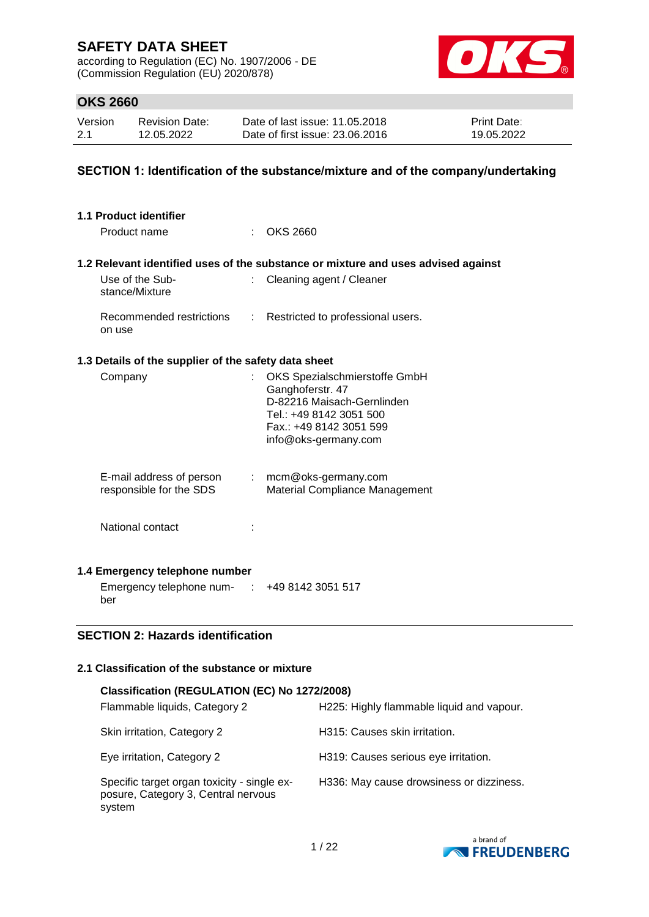according to Regulation (EC) No. 1907/2006 - DE (Commission Regulation (EU) 2020/878)



## **OKS 2660**

| Version | <b>Revision Date:</b> | Date of last issue: 11,05,2018  | <b>Print Date:</b> |
|---------|-----------------------|---------------------------------|--------------------|
| 2.1     | 12.05.2022            | Date of first issue: 23,06,2016 | 19.05.2022         |

### **SECTION 1: Identification of the substance/mixture and of the company/undertaking**

| 1.1 Product identifier                               |                                          |                                                                                                                                                               |  |  |  |
|------------------------------------------------------|------------------------------------------|---------------------------------------------------------------------------------------------------------------------------------------------------------------|--|--|--|
| Product name                                         |                                          | $:$ OKS 2660                                                                                                                                                  |  |  |  |
|                                                      |                                          | 1.2 Relevant identified uses of the substance or mixture and uses advised against                                                                             |  |  |  |
| Use of the Sub-<br>stance/Mixture                    | t.                                       | Cleaning agent / Cleaner                                                                                                                                      |  |  |  |
| Recommended restrictions<br>on use                   | ÷.                                       | Restricted to professional users.                                                                                                                             |  |  |  |
| 1.3 Details of the supplier of the safety data sheet |                                          |                                                                                                                                                               |  |  |  |
| Company                                              |                                          | OKS Spezialschmierstoffe GmbH<br>Ganghoferstr. 47<br>D-82216 Maisach-Gernlinden<br>Tel.: +49 8142 3051 500<br>Fax.: +49 8142 3051 599<br>info@oks-germany.com |  |  |  |
| E-mail address of person<br>responsible for the SDS  |                                          | $:$ mcm@oks-germany.com<br>Material Compliance Management                                                                                                     |  |  |  |
| National contact                                     |                                          |                                                                                                                                                               |  |  |  |
| 1.4 Emergency telephone number                       |                                          |                                                                                                                                                               |  |  |  |
| Emergency telephone num- : +49 8142 3051 517<br>ber  |                                          |                                                                                                                                                               |  |  |  |
|                                                      | <b>SECTION 2: Hazards identification</b> |                                                                                                                                                               |  |  |  |

### **2.1 Classification of the substance or mixture**

| Classification (REGULATION (EC) No 1272/2008)                                                |                                           |  |  |  |  |  |  |
|----------------------------------------------------------------------------------------------|-------------------------------------------|--|--|--|--|--|--|
| Flammable liquids, Category 2                                                                | H225: Highly flammable liquid and vapour. |  |  |  |  |  |  |
| Skin irritation, Category 2                                                                  | H315: Causes skin irritation.             |  |  |  |  |  |  |
| Eye irritation, Category 2                                                                   | H319: Causes serious eye irritation.      |  |  |  |  |  |  |
| Specific target organ toxicity - single ex-<br>posure, Category 3, Central nervous<br>system | H336: May cause drowsiness or dizziness.  |  |  |  |  |  |  |

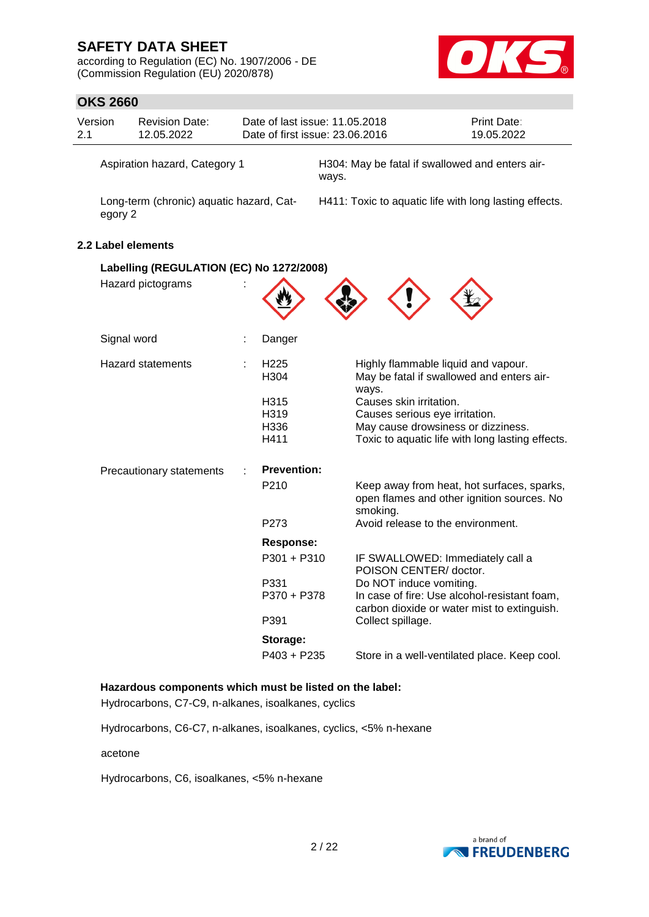according to Regulation (EC) No. 1907/2006 - DE (Commission Regulation (EU) 2020/878)



# **OKS 2660**

|                    | <b>OKS 2660</b>                          |   |                          |                                                                   |                                                                                             |  |  |  |
|--------------------|------------------------------------------|---|--------------------------|-------------------------------------------------------------------|---------------------------------------------------------------------------------------------|--|--|--|
| Version<br>2.1     | <b>Revision Date:</b><br>12.05.2022      |   |                          | Date of last issue: 11.05.2018<br>Date of first issue: 23.06.2016 | Print Date:<br>19.05.2022                                                                   |  |  |  |
|                    | Aspiration hazard, Category 1            |   |                          | H304: May be fatal if swallowed and enters air-<br>ways.          |                                                                                             |  |  |  |
| egory 2            | Long-term (chronic) aquatic hazard, Cat- |   |                          |                                                                   | H411: Toxic to aquatic life with long lasting effects.                                      |  |  |  |
| 2.2 Label elements |                                          |   |                          |                                                                   |                                                                                             |  |  |  |
|                    | Labelling (REGULATION (EC) No 1272/2008) |   |                          |                                                                   |                                                                                             |  |  |  |
|                    | Hazard pictograms                        |   |                          |                                                                   |                                                                                             |  |  |  |
|                    | Signal word                              | t | Danger                   |                                                                   |                                                                                             |  |  |  |
|                    | <b>Hazard statements</b>                 | ÷ | H <sub>225</sub><br>H304 | ways.                                                             | Highly flammable liquid and vapour.<br>May be fatal if swallowed and enters air-            |  |  |  |
|                    |                                          |   | H315                     | Causes skin irritation.                                           |                                                                                             |  |  |  |
|                    |                                          |   | H319                     | Causes serious eye irritation.                                    |                                                                                             |  |  |  |
|                    |                                          |   | H336                     |                                                                   | May cause drowsiness or dizziness.                                                          |  |  |  |
|                    |                                          |   | H411                     |                                                                   | Toxic to aquatic life with long lasting effects.                                            |  |  |  |
|                    | Precautionary statements                 |   | <b>Prevention:</b>       |                                                                   |                                                                                             |  |  |  |
|                    |                                          |   | P210                     | smoking.                                                          | Keep away from heat, hot surfaces, sparks,<br>open flames and other ignition sources. No    |  |  |  |
|                    |                                          |   | P273                     |                                                                   | Avoid release to the environment.                                                           |  |  |  |
|                    |                                          |   | <b>Response:</b>         |                                                                   |                                                                                             |  |  |  |
|                    |                                          |   | $P301 + P310$            | POISON CENTER/ doctor.                                            | IF SWALLOWED: Immediately call a                                                            |  |  |  |
|                    |                                          |   | P331<br>P370 + P378      | Do NOT induce vomiting.                                           | In case of fire: Use alcohol-resistant foam,<br>carbon dioxide or water mist to extinguish. |  |  |  |
|                    |                                          |   | P391                     | Collect spillage.                                                 |                                                                                             |  |  |  |
|                    |                                          |   | Storage:                 |                                                                   |                                                                                             |  |  |  |
|                    |                                          |   | P403 + P235              |                                                                   | Store in a well-ventilated place. Keep cool.                                                |  |  |  |

## **Hazardous components which must be listed on the label:**

Hydrocarbons, C7-C9, n-alkanes, isoalkanes, cyclics

Hydrocarbons, C6-C7, n-alkanes, isoalkanes, cyclics, <5% n-hexane

acetone

Hydrocarbons, C6, isoalkanes, <5% n-hexane

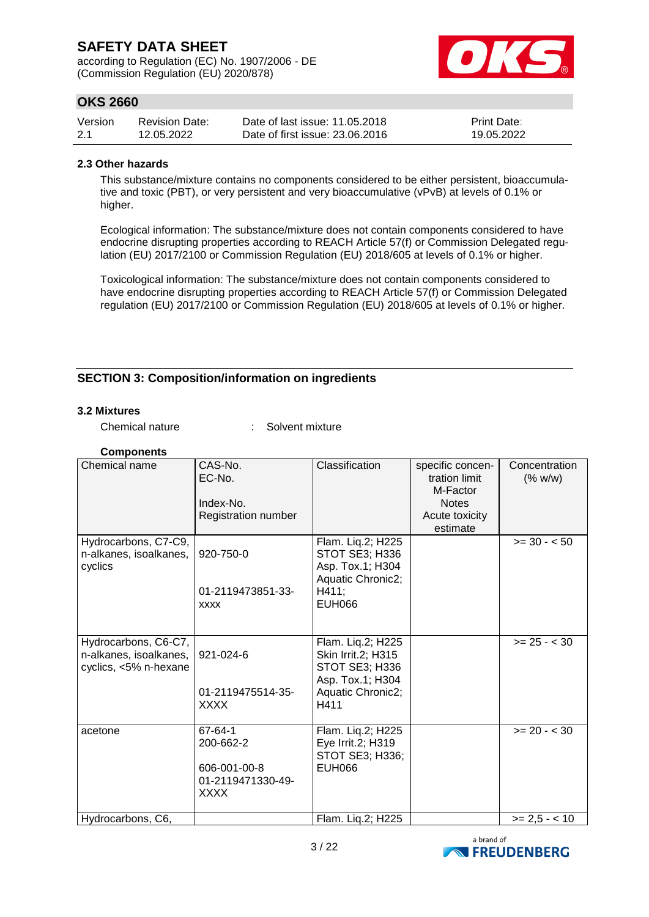according to Regulation (EC) No. 1907/2006 - DE (Commission Regulation (EU) 2020/878)



## **OKS 2660**

| Version | Revision Date: | Date of last issue: 11.05.2018  | <b>Print Date:</b> |
|---------|----------------|---------------------------------|--------------------|
| 2.1     | 12.05.2022     | Date of first issue: 23,06,2016 | 19.05.2022         |

#### **2.3 Other hazards**

This substance/mixture contains no components considered to be either persistent, bioaccumulative and toxic (PBT), or very persistent and very bioaccumulative (vPvB) at levels of 0.1% or higher.

Ecological information: The substance/mixture does not contain components considered to have endocrine disrupting properties according to REACH Article 57(f) or Commission Delegated regulation (EU) 2017/2100 or Commission Regulation (EU) 2018/605 at levels of 0.1% or higher.

Toxicological information: The substance/mixture does not contain components considered to have endocrine disrupting properties according to REACH Article 57(f) or Commission Delegated regulation (EU) 2017/2100 or Commission Regulation (EU) 2018/605 at levels of 0.1% or higher.

### **SECTION 3: Composition/information on ingredients**

#### **3.2 Mixtures**

Chemical nature : Solvent mixture

| <b>Components</b>      |                     |                                    |                          |                 |
|------------------------|---------------------|------------------------------------|--------------------------|-----------------|
| Chemical name          | CAS-No.             | Classification                     | specific concen-         | Concentration   |
|                        | EC-No.              |                                    | tration limit            | (% w/w)         |
|                        | Index-No.           |                                    | M-Factor<br><b>Notes</b> |                 |
|                        | Registration number |                                    | Acute toxicity           |                 |
|                        |                     |                                    | estimate                 |                 |
| Hydrocarbons, C7-C9,   |                     | Flam. Liq.2; H225                  |                          | $>= 30 - 50$    |
| n-alkanes, isoalkanes, | 920-750-0           | STOT SE3; H336                     |                          |                 |
| cyclics                |                     | Asp. Tox.1; H304                   |                          |                 |
|                        | 01-2119473851-33-   | Aquatic Chronic2;<br>H411;         |                          |                 |
|                        | <b>XXXX</b>         | <b>EUH066</b>                      |                          |                 |
|                        |                     |                                    |                          |                 |
|                        |                     |                                    |                          |                 |
| Hydrocarbons, C6-C7,   |                     | Flam. Liq.2; H225                  |                          | $>= 25 - < 30$  |
| n-alkanes, isoalkanes, | 921-024-6           | <b>Skin Irrit.2; H315</b>          |                          |                 |
| cyclics, <5% n-hexane  |                     | STOT SE3; H336<br>Asp. Tox.1; H304 |                          |                 |
|                        | 01-2119475514-35-   | Aquatic Chronic2;                  |                          |                 |
|                        | <b>XXXX</b>         | H411                               |                          |                 |
|                        |                     |                                    |                          |                 |
| acetone                | 67-64-1             | Flam. Liq.2; H225                  |                          | $>= 20 - < 30$  |
|                        | 200-662-2           | Eye Irrit.2; H319                  |                          |                 |
|                        | 606-001-00-8        | STOT SE3; H336;<br><b>EUH066</b>   |                          |                 |
|                        | 01-2119471330-49-   |                                    |                          |                 |
|                        | <b>XXXX</b>         |                                    |                          |                 |
|                        |                     |                                    |                          |                 |
| Hydrocarbons, C6,      |                     | Flam. Liq.2; H225                  |                          | $>= 2.5 - < 10$ |

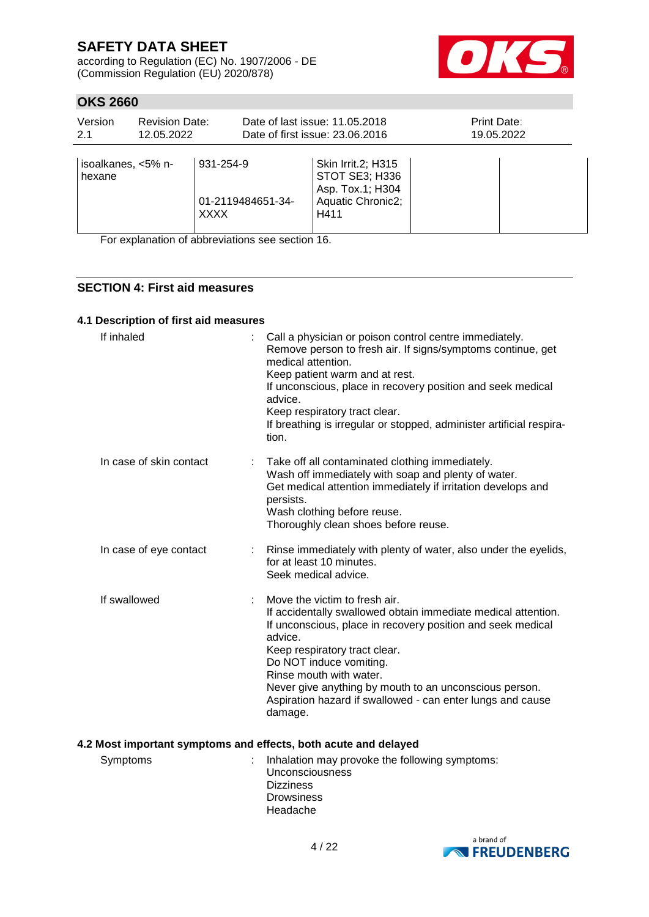according to Regulation (EC) No. 1907/2006 - DE (Commission Regulation (EU) 2020/878)



## **OKS 2660**

| Version<br>2.1               | <b>Revision Date:</b><br>12.05.2022 |                          |                   | Date of last issue: 11.05.2018<br>Date of first issue: 23.06.2016                     | Print Date:<br>19.05.2022 |
|------------------------------|-------------------------------------|--------------------------|-------------------|---------------------------------------------------------------------------------------|---------------------------|
| isoalkanes, <5% n-<br>hexane |                                     | 931-254-9<br><b>XXXX</b> | 01-2119484651-34- | Skin Irrit.2; H315<br>STOT SE3; H336<br>Asp. Tox.1; H304<br>Aquatic Chronic2;<br>H411 |                           |

For explanation of abbreviations see section 16.

### **SECTION 4: First aid measures**

#### **4.1 Description of first aid measures**

| If inhaled              | Call a physician or poison control centre immediately.<br>Remove person to fresh air. If signs/symptoms continue, get<br>medical attention.<br>Keep patient warm and at rest.<br>If unconscious, place in recovery position and seek medical<br>advice.<br>Keep respiratory tract clear.<br>If breathing is irregular or stopped, administer artificial respira-<br>tion.                          |
|-------------------------|----------------------------------------------------------------------------------------------------------------------------------------------------------------------------------------------------------------------------------------------------------------------------------------------------------------------------------------------------------------------------------------------------|
| In case of skin contact | Take off all contaminated clothing immediately.<br>Wash off immediately with soap and plenty of water.<br>Get medical attention immediately if irritation develops and<br>persists.<br>Wash clothing before reuse.<br>Thoroughly clean shoes before reuse.                                                                                                                                         |
| In case of eye contact  | Rinse immediately with plenty of water, also under the eyelids,<br>for at least 10 minutes.<br>Seek medical advice.                                                                                                                                                                                                                                                                                |
| If swallowed            | Move the victim to fresh air.<br>If accidentally swallowed obtain immediate medical attention.<br>If unconscious, place in recovery position and seek medical<br>advice.<br>Keep respiratory tract clear.<br>Do NOT induce vomiting.<br>Rinse mouth with water.<br>Never give anything by mouth to an unconscious person.<br>Aspiration hazard if swallowed - can enter lungs and cause<br>damage. |

#### **4.2 Most important symptoms and effects, both acute and delayed**

Symptoms : Inhalation may provoke the following symptoms: Unconsciousness **Dizziness** Drowsiness Headache

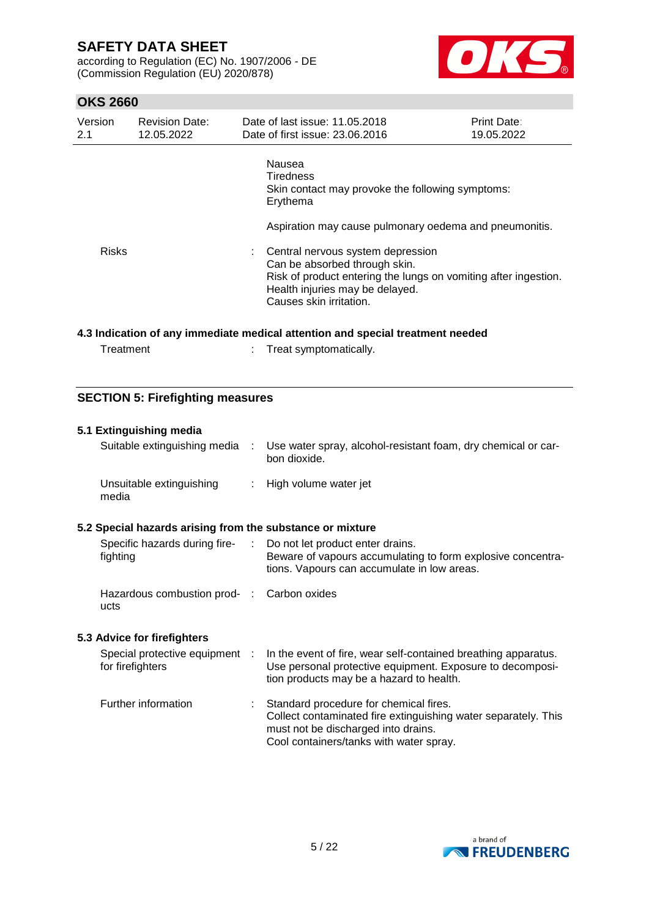according to Regulation (EC) No. 1907/2006 - DE (Commission Regulation (EU) 2020/878)



## **OKS 2660**

| Version<br>2.1 | <b>Revision Date:</b><br>12.05.2022 | Date of last issue: 11.05.2018<br>Date of first issue: 23.06.2016                                                                                                                                   | Print Date:<br>19.05.2022 |
|----------------|-------------------------------------|-----------------------------------------------------------------------------------------------------------------------------------------------------------------------------------------------------|---------------------------|
|                |                                     | Nausea<br><b>Tiredness</b><br>Skin contact may provoke the following symptoms:<br>Erythema<br>Aspiration may cause pulmonary oedema and pneumonitis.                                                |                           |
| <b>Risks</b>   |                                     | Central nervous system depression<br>Can be absorbed through skin.<br>Risk of product entering the lungs on vomiting after ingestion.<br>Health injuries may be delayed.<br>Causes skin irritation. |                           |

#### **4.3 Indication of any immediate medical attention and special treatment needed**

| Treatment |  |  |
|-----------|--|--|
|           |  |  |

: Treat symptomatically.

### **SECTION 5: Firefighting measures**

| 5.1 Extinguishing media                                   |                                                                                                                                                                                              |
|-----------------------------------------------------------|----------------------------------------------------------------------------------------------------------------------------------------------------------------------------------------------|
| Suitable extinguishing media :                            | Use water spray, alcohol-resistant foam, dry chemical or car-<br>bon dioxide.                                                                                                                |
| Unsuitable extinguishing<br>media                         | : High volume water jet                                                                                                                                                                      |
| 5.2 Special hazards arising from the substance or mixture |                                                                                                                                                                                              |
| fighting                                                  | Specific hazards during fire- : Do not let product enter drains.<br>Beware of vapours accumulating to form explosive concentra-<br>tions. Vapours can accumulate in low areas.               |
| Hazardous combustion prod- : Carbon oxides<br>ucts        |                                                                                                                                                                                              |
| 5.3 Advice for firefighters                               |                                                                                                                                                                                              |
| Special protective equipment :<br>for firefighters        | In the event of fire, wear self-contained breathing apparatus.<br>Use personal protective equipment. Exposure to decomposi-<br>tion products may be a hazard to health.                      |
| Further information                                       | : Standard procedure for chemical fires.<br>Collect contaminated fire extinguishing water separately. This<br>must not be discharged into drains.<br>Cool containers/tanks with water spray. |

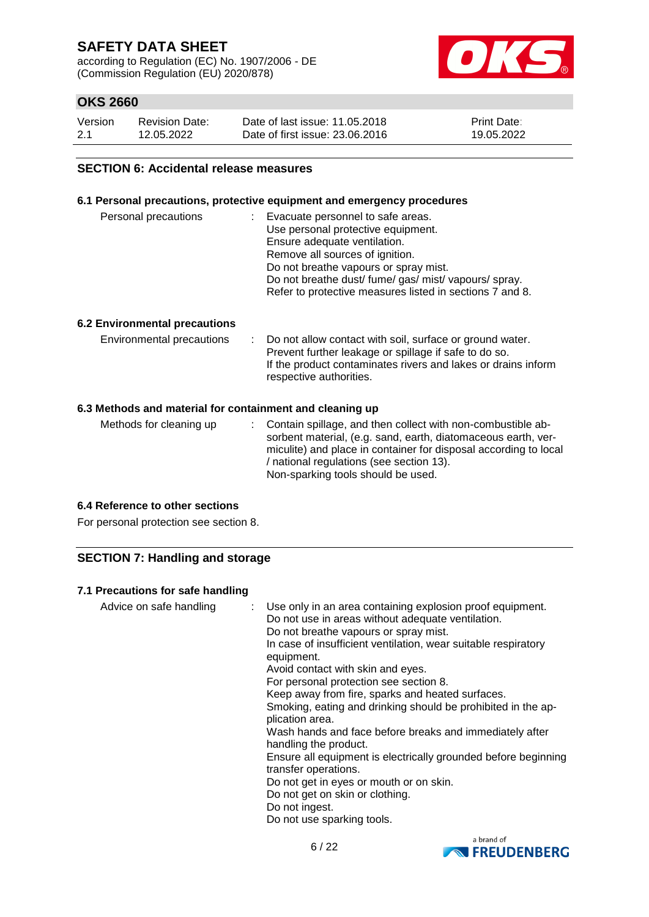according to Regulation (EC) No. 1907/2006 - DE (Commission Regulation (EU) 2020/878)



## **OKS 2660**

| Version | <b>Revision Date:</b> | Date of last issue: 11.05.2018  | <b>Print Date:</b> |
|---------|-----------------------|---------------------------------|--------------------|
| 2.1     | 12.05.2022            | Date of first issue: 23,06,2016 | 19.05.2022         |

#### **SECTION 6: Accidental release measures**

#### **6.1 Personal precautions, protective equipment and emergency procedures**

| Personal precautions | Evacuate personnel to safe areas.                        |
|----------------------|----------------------------------------------------------|
|                      | Use personal protective equipment.                       |
|                      | Ensure adequate ventilation.                             |
|                      | Remove all sources of ignition.                          |
|                      | Do not breathe vapours or spray mist.                    |
|                      | Do not breathe dust/ fume/ gas/ mist/ vapours/ spray.    |
|                      | Refer to protective measures listed in sections 7 and 8. |

#### **6.2 Environmental precautions**

| Environmental precautions |  | : Do not allow contact with soil, surface or ground water.<br>Prevent further leakage or spillage if safe to do so.<br>If the product contaminates rivers and lakes or drains inform<br>respective authorities. |
|---------------------------|--|-----------------------------------------------------------------------------------------------------------------------------------------------------------------------------------------------------------------|
|---------------------------|--|-----------------------------------------------------------------------------------------------------------------------------------------------------------------------------------------------------------------|

#### **6.3 Methods and material for containment and cleaning up**

| Methods for cleaning up | : Contain spillage, and then collect with non-combustible ab-<br>sorbent material, (e.g. sand, earth, diatomaceous earth, ver-<br>miculite) and place in container for disposal according to local<br>/ national regulations (see section 13).<br>Non-sparking tools should be used. |
|-------------------------|--------------------------------------------------------------------------------------------------------------------------------------------------------------------------------------------------------------------------------------------------------------------------------------|
|-------------------------|--------------------------------------------------------------------------------------------------------------------------------------------------------------------------------------------------------------------------------------------------------------------------------------|

### **6.4 Reference to other sections**

For personal protection see section 8.

### **SECTION 7: Handling and storage**

#### **7.1 Precautions for safe handling**

Advice on safe handling : Use only in an area containing explosion proof equipment. Do not use in areas without adequate ventilation. Do not breathe vapours or spray mist. In case of insufficient ventilation, wear suitable respiratory equipment. Avoid contact with skin and eyes. For personal protection see section 8. Keep away from fire, sparks and heated surfaces. Smoking, eating and drinking should be prohibited in the application area. Wash hands and face before breaks and immediately after handling the product. Ensure all equipment is electrically grounded before beginning transfer operations. Do not get in eyes or mouth or on skin. Do not get on skin or clothing. Do not ingest. Do not use sparking tools.

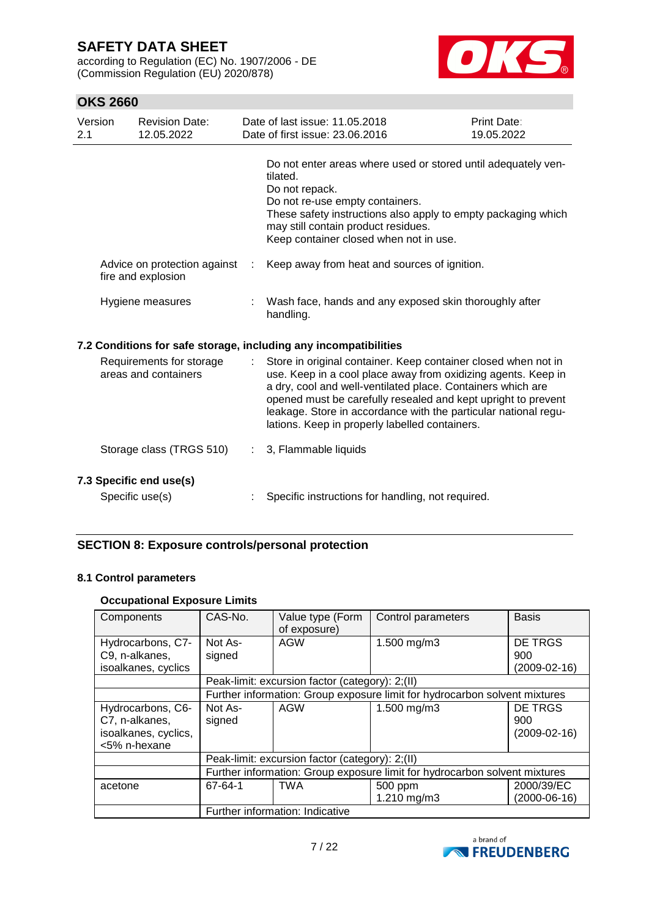according to Regulation (EC) No. 1907/2006 - DE (Commission Regulation (EU) 2020/878)



## **OKS 2660**

| Version<br>2.1                                   |  | <b>Revision Date:</b><br>12.05.2022                                                                                                                                                                                                                                                                                                                                                  | Date of last issue: 11.05.2018<br>Date of first issue: 23,06,2016                                                                                                                                                                                                                | <b>Print Date:</b><br>19.05.2022 |
|--------------------------------------------------|--|--------------------------------------------------------------------------------------------------------------------------------------------------------------------------------------------------------------------------------------------------------------------------------------------------------------------------------------------------------------------------------------|----------------------------------------------------------------------------------------------------------------------------------------------------------------------------------------------------------------------------------------------------------------------------------|----------------------------------|
|                                                  |  |                                                                                                                                                                                                                                                                                                                                                                                      | Do not enter areas where used or stored until adequately ven-<br>tilated.<br>Do not repack.<br>Do not re-use empty containers.<br>These safety instructions also apply to empty packaging which<br>may still contain product residues.<br>Keep container closed when not in use. |                                  |
|                                                  |  | Advice on protection against<br>fire and explosion                                                                                                                                                                                                                                                                                                                                   | Keep away from heat and sources of ignition.                                                                                                                                                                                                                                     |                                  |
|                                                  |  | Hygiene measures                                                                                                                                                                                                                                                                                                                                                                     | Wash face, hands and any exposed skin thoroughly after<br>handling.                                                                                                                                                                                                              |                                  |
|                                                  |  |                                                                                                                                                                                                                                                                                                                                                                                      | 7.2 Conditions for safe storage, including any incompatibilities                                                                                                                                                                                                                 |                                  |
| Requirements for storage<br>areas and containers |  | Store in original container. Keep container closed when not in<br>use. Keep in a cool place away from oxidizing agents. Keep in<br>a dry, cool and well-ventilated place. Containers which are<br>opened must be carefully resealed and kept upright to prevent<br>leakage. Store in accordance with the particular national regu-<br>lations. Keep in properly labelled containers. |                                                                                                                                                                                                                                                                                  |                                  |
|                                                  |  | Storage class (TRGS 510)                                                                                                                                                                                                                                                                                                                                                             | 3, Flammable liquids                                                                                                                                                                                                                                                             |                                  |
|                                                  |  | 7.3 Specific end use(s)<br>Specific use(s)                                                                                                                                                                                                                                                                                                                                           | Specific instructions for handling, not required.                                                                                                                                                                                                                                |                                  |

### **SECTION 8: Exposure controls/personal protection**

#### **8.1 Control parameters**

#### **Occupational Exposure Limits**

| Components           | CAS-No.                                                                    | Value type (Form<br>of exposure)                | Control parameters | <b>Basis</b>   |  |  |
|----------------------|----------------------------------------------------------------------------|-------------------------------------------------|--------------------|----------------|--|--|
| Hydrocarbons, C7-    | Not As-                                                                    | AGW                                             | 1.500 mg/m3        | <b>DE TRGS</b> |  |  |
| C9, n-alkanes,       | signed                                                                     |                                                 |                    | 900            |  |  |
| isoalkanes, cyclics  |                                                                            |                                                 |                    | (2009-02-16)   |  |  |
|                      |                                                                            | Peak-limit: excursion factor (category): 2;(II) |                    |                |  |  |
|                      | Further information: Group exposure limit for hydrocarbon solvent mixtures |                                                 |                    |                |  |  |
| Hydrocarbons, C6-    | Not As-                                                                    | AGW                                             | 1.500 mg/m3        | DE TRGS        |  |  |
| C7, n-alkanes,       | signed                                                                     |                                                 |                    | 900            |  |  |
| isoalkanes, cyclics, |                                                                            |                                                 |                    | $(2009-02-16)$ |  |  |
| <5% n-hexane         |                                                                            |                                                 |                    |                |  |  |
|                      |                                                                            | Peak-limit: excursion factor (category): 2;(II) |                    |                |  |  |
|                      | Further information: Group exposure limit for hydrocarbon solvent mixtures |                                                 |                    |                |  |  |
| acetone              | 67-64-1                                                                    | <b>TWA</b>                                      | 500 ppm            | 2000/39/EC     |  |  |
|                      |                                                                            |                                                 | 1.210 mg/m3        | $(2000-06-16)$ |  |  |
|                      | Further information: Indicative                                            |                                                 |                    |                |  |  |

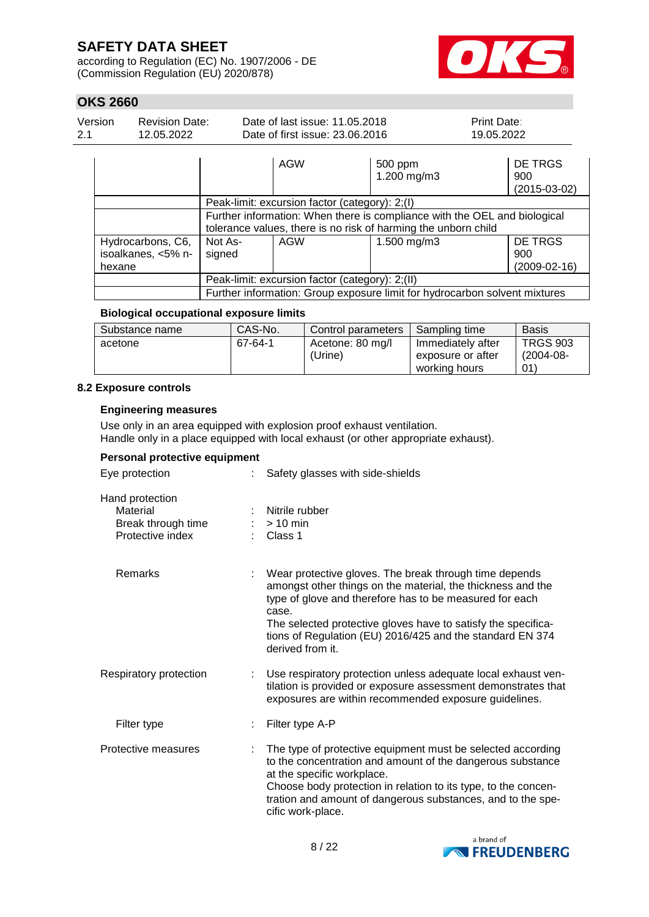according to Regulation (EC) No. 1907/2006 - DE (Commission Regulation (EU) 2020/878)



## **OKS 2660**

| Version | <b>Revision Date:</b> | Date of last issue: 11.05.2018  | <b>Print Date:</b> |
|---------|-----------------------|---------------------------------|--------------------|
| -2.1    | 12.05.2022            | Date of first issue: 23.06.2016 | 19.05.2022         |
|         |                       |                                 |                    |

|                                                   |                                                 | <b>AGW</b>                                                                                                                                  | 500 ppm<br>1.200 mg/m3 | DE TRGS<br>900<br>$(2015-03-02)$ |  |  |
|---------------------------------------------------|-------------------------------------------------|---------------------------------------------------------------------------------------------------------------------------------------------|------------------------|----------------------------------|--|--|
|                                                   |                                                 | Peak-limit: excursion factor (category): 2;(I)                                                                                              |                        |                                  |  |  |
|                                                   |                                                 | Further information: When there is compliance with the OEL and biological<br>tolerance values, there is no risk of harming the unborn child |                        |                                  |  |  |
| Hydrocarbons, C6,<br>isoalkanes, <5% n-<br>hexane | Not As-<br>signed                               | <b>AGW</b>                                                                                                                                  | 1.500 mg/m3            | DE TRGS<br>900<br>$(2009-02-16)$ |  |  |
|                                                   | Peak-limit: excursion factor (category): 2;(II) |                                                                                                                                             |                        |                                  |  |  |
|                                                   |                                                 | Further information: Group exposure limit for hydrocarbon solvent mixtures                                                                  |                        |                                  |  |  |

#### **Biological occupational exposure limits**

| Substance name | CAS-No. | l Control parameters        | Sampling time                                           | Basis                              |
|----------------|---------|-----------------------------|---------------------------------------------------------|------------------------------------|
| acetone        | 67-64-1 | Acetone: 80 mg/l<br>(Urine) | Immediately after<br>exposure or after<br>working hours | <b>TRGS 903</b><br>(2004-08-<br>01 |

#### **8.2 Exposure controls**

#### **Engineering measures**

Use only in an area equipped with explosion proof exhaust ventilation. Handle only in a place equipped with local exhaust (or other appropriate exhaust).

### **Personal protective equipment**

| Eye protection                                                        | Safety glasses with side-shields                                                                                                                                                                                                                                                                                                            |  |  |  |
|-----------------------------------------------------------------------|---------------------------------------------------------------------------------------------------------------------------------------------------------------------------------------------------------------------------------------------------------------------------------------------------------------------------------------------|--|--|--|
| Hand protection<br>Material<br>Break through time<br>Protective index | Nitrile rubber<br>$>10$ min<br>Class 1                                                                                                                                                                                                                                                                                                      |  |  |  |
| <b>Remarks</b>                                                        | Wear protective gloves. The break through time depends<br>amongst other things on the material, the thickness and the<br>type of glove and therefore has to be measured for each<br>case.<br>The selected protective gloves have to satisfy the specifica-<br>tions of Regulation (EU) 2016/425 and the standard EN 374<br>derived from it. |  |  |  |
| Respiratory protection                                                | Use respiratory protection unless adequate local exhaust ven-<br>tilation is provided or exposure assessment demonstrates that<br>exposures are within recommended exposure guidelines.                                                                                                                                                     |  |  |  |
| Filter type                                                           | Filter type A-P                                                                                                                                                                                                                                                                                                                             |  |  |  |
| Protective measures                                                   | The type of protective equipment must be selected according<br>to the concentration and amount of the dangerous substance<br>at the specific workplace.<br>Choose body protection in relation to its type, to the concen-<br>tration and amount of dangerous substances, and to the spe-<br>cific work-place.                               |  |  |  |

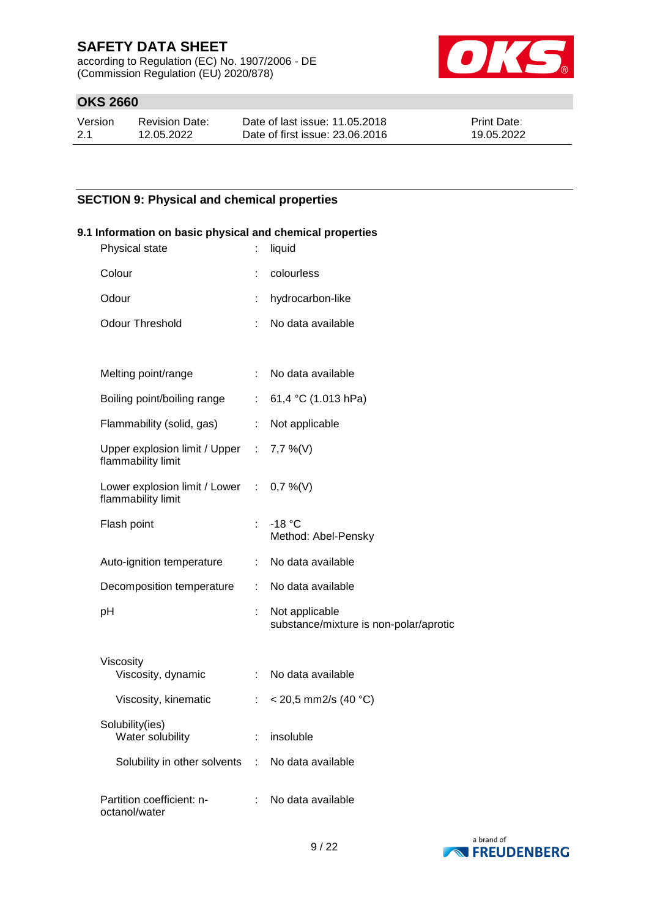according to Regulation (EC) No. 1907/2006 - DE (Commission Regulation (EU) 2020/878)



## **OKS 2660**

| Version | Revision Date: | Date of last issue: 11.05.2018  | <b>Print Date:</b> |
|---------|----------------|---------------------------------|--------------------|
| 2.1     | 12.05.2022     | Date of first issue: 23,06,2016 | 19.05.2022         |

### **SECTION 9: Physical and chemical properties**

| 9.1 Information on basic physical and chemical properties<br>Physical state | ÷                           | liquid                                                   |
|-----------------------------------------------------------------------------|-----------------------------|----------------------------------------------------------|
| Colour                                                                      |                             | colourless                                               |
| Odour                                                                       |                             | hydrocarbon-like                                         |
| <b>Odour Threshold</b>                                                      | ÷                           | No data available                                        |
|                                                                             |                             |                                                          |
| Melting point/range                                                         |                             | : No data available                                      |
| Boiling point/boiling range                                                 |                             | : 61,4 °C (1.013 hPa)                                    |
| Flammability (solid, gas)                                                   |                             | : Not applicable                                         |
| Upper explosion limit / Upper : 7,7 %(V)<br>flammability limit              |                             |                                                          |
| Lower explosion limit / Lower : 0,7 %(V)<br>flammability limit              |                             |                                                          |
| Flash point                                                                 |                             | $: -18 °C$<br>Method: Abel-Pensky                        |
| Auto-ignition temperature                                                   |                             | : No data available                                      |
| Decomposition temperature                                                   | $\mathbb{Z}^{\mathbb{Z}}$   | No data available                                        |
| pH                                                                          |                             | Not applicable<br>substance/mixture is non-polar/aprotic |
| Viscosity<br>Viscosity, dynamic                                             |                             | : No data available                                      |
| Viscosity, kinematic                                                        | $\mathbb{Z}^{\mathbb{Z}^n}$ | < 20,5 mm2/s (40 °C)                                     |
| Solubility(ies)<br>Water solubility                                         |                             | insoluble                                                |
| Solubility in other solvents                                                | ÷                           | No data available                                        |
| Partition coefficient: n-<br>octanol/water                                  |                             | No data available                                        |

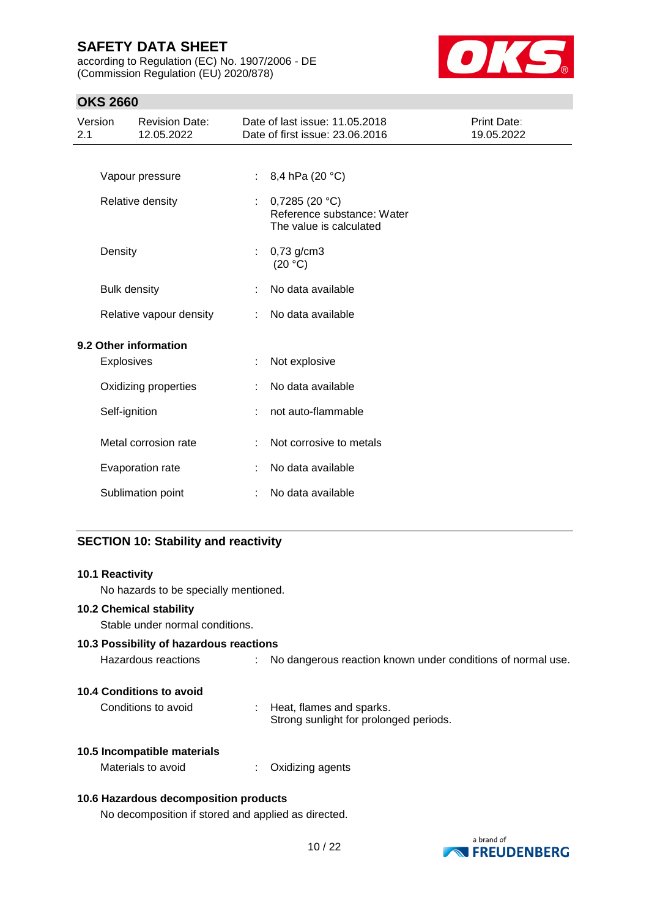according to Regulation (EC) No. 1907/2006 - DE (Commission Regulation (EU) 2020/878)



## **OKS 2660**

| Version<br><b>Revision Date:</b><br>12.05.2022<br>2.1 |                                       |                         |    | Date of last issue: 11.05.2018<br>Date of first issue: 23.06.2016      | Print Date:<br>19.05.2022 |
|-------------------------------------------------------|---------------------------------------|-------------------------|----|------------------------------------------------------------------------|---------------------------|
|                                                       |                                       |                         |    |                                                                        |                           |
|                                                       |                                       | Vapour pressure         | ÷. | 8,4 hPa (20 °C)                                                        |                           |
|                                                       |                                       | Relative density        | ÷. | 0,7285(20 °C)<br>Reference substance: Water<br>The value is calculated |                           |
|                                                       | Density                               |                         |    | $0,73$ g/cm3<br>(20 °C)                                                |                           |
|                                                       | <b>Bulk density</b>                   |                         |    | No data available                                                      |                           |
|                                                       |                                       | Relative vapour density | ÷. | No data available                                                      |                           |
|                                                       |                                       | 9.2 Other information   |    |                                                                        |                           |
|                                                       | Explosives                            |                         |    | Not explosive                                                          |                           |
|                                                       |                                       | Oxidizing properties    |    | No data available                                                      |                           |
|                                                       | Self-ignition<br>Metal corrosion rate |                         | ÷. | not auto-flammable                                                     |                           |
|                                                       |                                       |                         |    | Not corrosive to metals                                                |                           |
|                                                       |                                       | Evaporation rate        |    | No data available                                                      |                           |
|                                                       |                                       | Sublimation point       | ÷  | No data available                                                      |                           |
|                                                       |                                       |                         |    |                                                                        |                           |

## **SECTION 10: Stability and reactivity**

| <b>10.1 Reactivity</b>                  |                                                                          |
|-----------------------------------------|--------------------------------------------------------------------------|
| No hazards to be specially mentioned.   |                                                                          |
| <b>10.2 Chemical stability</b>          |                                                                          |
| Stable under normal conditions.         |                                                                          |
| 10.3 Possibility of hazardous reactions |                                                                          |
| Hazardous reactions                     | No dangerous reaction known under conditions of normal use.<br>t.        |
| 10.4 Conditions to avoid                |                                                                          |
| Conditions to avoid                     | Heat, flames and sparks.<br>t.<br>Strong sunlight for prolonged periods. |
| 10.5 Incompatible materials             |                                                                          |
| Materials to avoid                      | Oxidizing agents                                                         |
|                                         |                                                                          |

## **10.6 Hazardous decomposition products**

No decomposition if stored and applied as directed.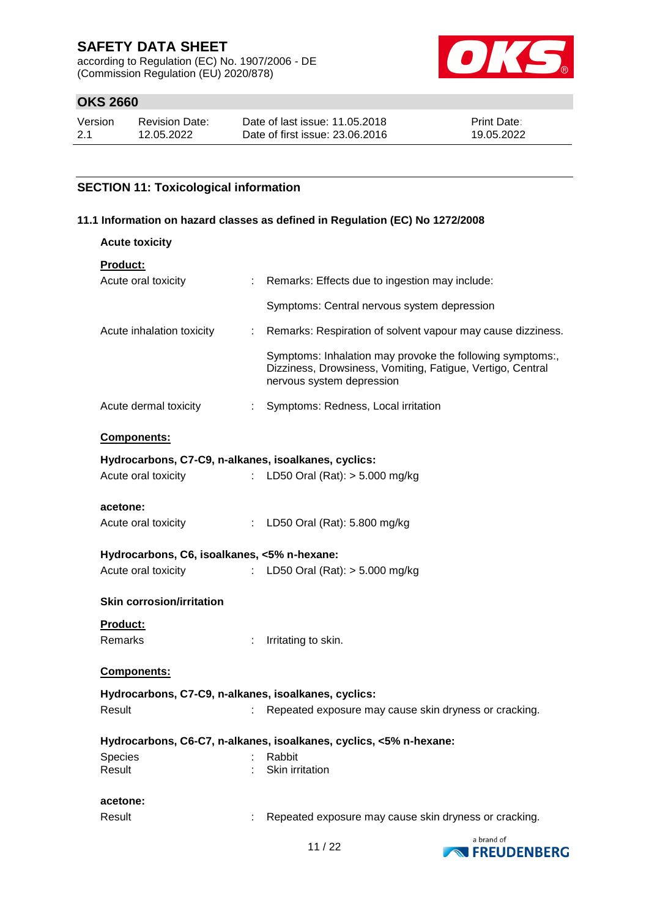according to Regulation (EC) No. 1907/2006 - DE (Commission Regulation (EU) 2020/878)



## **OKS 2660**

| Version | <b>Revision Date:</b> | Date of last issue: 11.05.2018  | <b>Print Date:</b> |
|---------|-----------------------|---------------------------------|--------------------|
| 2.1     | 12.05.2022            | Date of first issue: 23,06,2016 | 19.05.2022         |

### **SECTION 11: Toxicological information**

#### **11.1 Information on hazard classes as defined in Regulation (EC) No 1272/2008**

| <b>Acute toxicity</b>                                                   |                                                                                                                         |
|-------------------------------------------------------------------------|-------------------------------------------------------------------------------------------------------------------------|
| Product:                                                                |                                                                                                                         |
| Acute oral toxicity<br>: Remarks: Effects due to ingestion may include: |                                                                                                                         |
| Symptoms: Central nervous system depression                             |                                                                                                                         |
| Acute inhalation toxicity                                               | Remarks: Respiration of solvent vapour may cause dizziness.                                                             |
| nervous system depression                                               | Symptoms: Inhalation may provoke the following symptoms:,<br>Dizziness, Drowsiness, Vomiting, Fatigue, Vertigo, Central |
| Acute dermal toxicity<br>Symptoms: Redness, Local irritation            |                                                                                                                         |
| <b>Components:</b>                                                      |                                                                                                                         |
| Hydrocarbons, C7-C9, n-alkanes, isoalkanes, cyclics:                    |                                                                                                                         |
| Acute oral toxicity<br>: LD50 Oral (Rat): $> 5.000$ mg/kg               |                                                                                                                         |
|                                                                         |                                                                                                                         |
| acetone:                                                                |                                                                                                                         |
| : LD50 Oral (Rat): 5.800 mg/kg<br>Acute oral toxicity                   |                                                                                                                         |
| Hydrocarbons, C6, isoalkanes, <5% n-hexane:                             |                                                                                                                         |
| Acute oral toxicity<br>: LD50 Oral (Rat): > 5.000 mg/kg                 |                                                                                                                         |
| <b>Skin corrosion/irritation</b>                                        |                                                                                                                         |
| Product:                                                                |                                                                                                                         |
| <b>Remarks</b><br>: Irritating to skin.                                 |                                                                                                                         |
|                                                                         |                                                                                                                         |
| Components:                                                             |                                                                                                                         |
| Hydrocarbons, C7-C9, n-alkanes, isoalkanes, cyclics:                    |                                                                                                                         |
| Result                                                                  | Repeated exposure may cause skin dryness or cracking.                                                                   |
| Hydrocarbons, C6-C7, n-alkanes, isoalkanes, cyclics, <5% n-hexane:      |                                                                                                                         |
| Species<br>Rabbit                                                       |                                                                                                                         |
| Result<br>Skin irritation                                               |                                                                                                                         |
| acetone:                                                                |                                                                                                                         |
| Result                                                                  | Repeated exposure may cause skin dryness or cracking.                                                                   |
|                                                                         |                                                                                                                         |

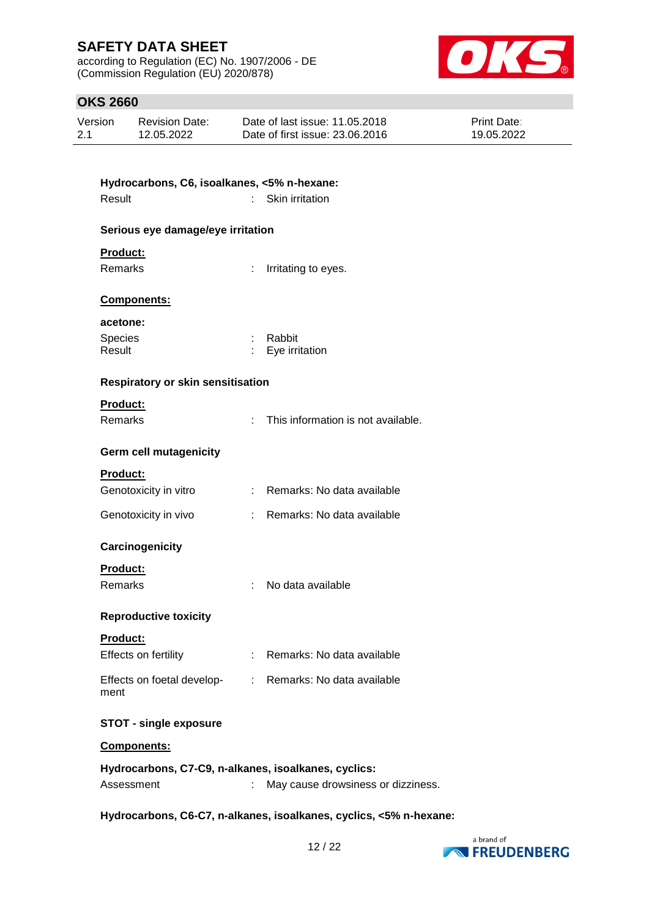according to Regulation (EC) No. 1907/2006 - DE (Commission Regulation (EU) 2020/878)



## **OKS 2660**

| Version | <b>Revision Date:</b> | Date of last issue: 11,05,2018  | <b>Print Date:</b> |
|---------|-----------------------|---------------------------------|--------------------|
| 2.1     | 12.05.2022            | Date of first issue: 23,06,2016 | 19.05.2022         |

| Hydrocarbons, C6, isoalkanes, <5% n-hexane:          |    |                                                         |
|------------------------------------------------------|----|---------------------------------------------------------|
| Result                                               |    | Skin irritation                                         |
| Serious eye damage/eye irritation                    |    |                                                         |
| <b>Product:</b>                                      |    |                                                         |
| <b>Remarks</b>                                       | t. | Irritating to eyes.                                     |
| Components:                                          |    |                                                         |
| acetone:                                             |    |                                                         |
| Species<br>Result                                    |    | : Rabbit<br>Eye irritation                              |
|                                                      |    |                                                         |
| <b>Respiratory or skin sensitisation</b>             |    |                                                         |
| <b>Product:</b>                                      |    |                                                         |
| Remarks                                              | t. | This information is not available.                      |
| <b>Germ cell mutagenicity</b>                        |    |                                                         |
| Product:                                             |    |                                                         |
| Genotoxicity in vitro                                | t. | Remarks: No data available                              |
| Genotoxicity in vivo                                 | t. | Remarks: No data available                              |
| Carcinogenicity                                      |    |                                                         |
| <b>Product:</b>                                      |    |                                                         |
| <b>Remarks</b>                                       |    | No data available                                       |
| <b>Reproductive toxicity</b>                         |    |                                                         |
| <b>Product:</b>                                      |    |                                                         |
| Effects on fertility                                 |    | Remarks: No data available                              |
| ment                                                 |    | Effects on foetal develop- : Remarks: No data available |
| <b>STOT - single exposure</b>                        |    |                                                         |
| Components:                                          |    |                                                         |
| Hydrocarbons, C7-C9, n-alkanes, isoalkanes, cyclics: |    |                                                         |
| Assessment                                           |    | May cause drowsiness or dizziness.                      |

**Hydrocarbons, C6-C7, n-alkanes, isoalkanes, cyclics, <5% n-hexane:**

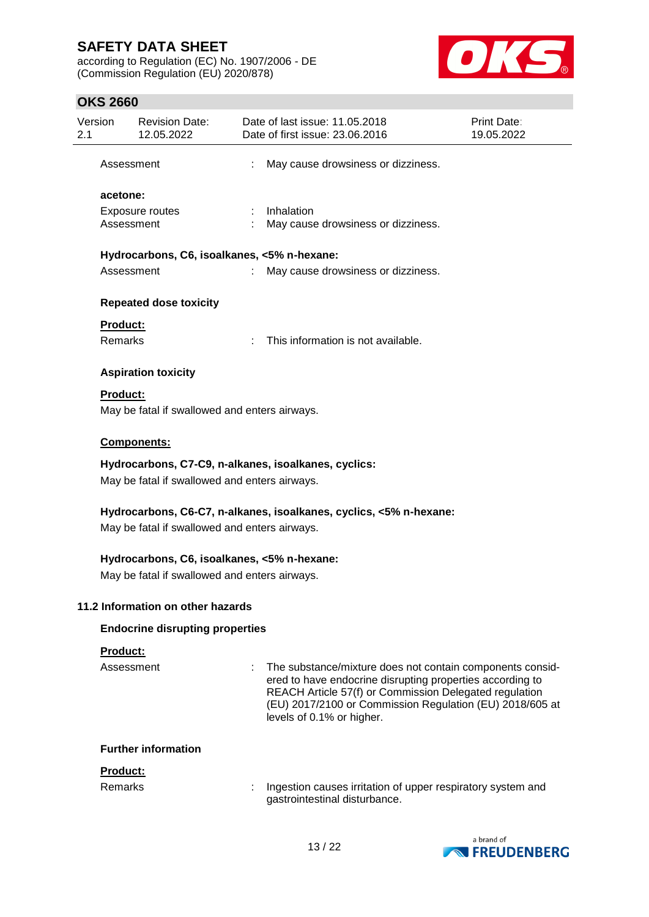according to Regulation (EC) No. 1907/2006 - DE (Commission Regulation (EU) 2020/878)



## **OKS 2660**

| Version<br>2.1 |                                                                                                                     | <b>Revision Date:</b><br>12.05.2022                                                          |  | Date of last issue: 11.05.2018<br>Date of first issue: 23.06.2016                                                                                                                                                                                                         | Print Date:<br>19.05.2022 |  |
|----------------|---------------------------------------------------------------------------------------------------------------------|----------------------------------------------------------------------------------------------|--|---------------------------------------------------------------------------------------------------------------------------------------------------------------------------------------------------------------------------------------------------------------------------|---------------------------|--|
|                | Assessment                                                                                                          |                                                                                              |  | May cause drowsiness or dizziness.                                                                                                                                                                                                                                        |                           |  |
|                | acetone:                                                                                                            |                                                                                              |  |                                                                                                                                                                                                                                                                           |                           |  |
|                | Assessment                                                                                                          | Exposure routes                                                                              |  | Inhalation<br>May cause drowsiness or dizziness.                                                                                                                                                                                                                          |                           |  |
|                |                                                                                                                     | Hydrocarbons, C6, isoalkanes, <5% n-hexane:                                                  |  |                                                                                                                                                                                                                                                                           |                           |  |
|                | Assessment                                                                                                          |                                                                                              |  | May cause drowsiness or dizziness.                                                                                                                                                                                                                                        |                           |  |
|                |                                                                                                                     | <b>Repeated dose toxicity</b>                                                                |  |                                                                                                                                                                                                                                                                           |                           |  |
|                | Product:                                                                                                            |                                                                                              |  |                                                                                                                                                                                                                                                                           |                           |  |
|                | <b>Remarks</b>                                                                                                      |                                                                                              |  | This information is not available.                                                                                                                                                                                                                                        |                           |  |
|                |                                                                                                                     | <b>Aspiration toxicity</b>                                                                   |  |                                                                                                                                                                                                                                                                           |                           |  |
|                | <b>Product:</b>                                                                                                     | May be fatal if swallowed and enters airways.                                                |  |                                                                                                                                                                                                                                                                           |                           |  |
|                |                                                                                                                     | Components:                                                                                  |  |                                                                                                                                                                                                                                                                           |                           |  |
|                |                                                                                                                     | May be fatal if swallowed and enters airways.                                                |  | Hydrocarbons, C7-C9, n-alkanes, isoalkanes, cyclics:                                                                                                                                                                                                                      |                           |  |
|                | Hydrocarbons, C6-C7, n-alkanes, isoalkanes, cyclics, <5% n-hexane:<br>May be fatal if swallowed and enters airways. |                                                                                              |  |                                                                                                                                                                                                                                                                           |                           |  |
|                |                                                                                                                     | Hydrocarbons, C6, isoalkanes, <5% n-hexane:<br>May be fatal if swallowed and enters airways. |  |                                                                                                                                                                                                                                                                           |                           |  |
|                |                                                                                                                     | 11.2 Information on other hazards                                                            |  |                                                                                                                                                                                                                                                                           |                           |  |
|                |                                                                                                                     | <b>Endocrine disrupting properties</b>                                                       |  |                                                                                                                                                                                                                                                                           |                           |  |
|                | Product:                                                                                                            |                                                                                              |  |                                                                                                                                                                                                                                                                           |                           |  |
|                | Assessment                                                                                                          |                                                                                              |  | The substance/mixture does not contain components consid-<br>ered to have endocrine disrupting properties according to<br>REACH Article 57(f) or Commission Delegated regulation<br>(EU) 2017/2100 or Commission Regulation (EU) 2018/605 at<br>levels of 0.1% or higher. |                           |  |
|                |                                                                                                                     | <b>Further information</b>                                                                   |  |                                                                                                                                                                                                                                                                           |                           |  |
|                | Product:                                                                                                            |                                                                                              |  |                                                                                                                                                                                                                                                                           |                           |  |
|                | <b>Remarks</b>                                                                                                      |                                                                                              |  | Ingestion causes irritation of upper respiratory system and<br>gastrointestinal disturbance.                                                                                                                                                                              |                           |  |

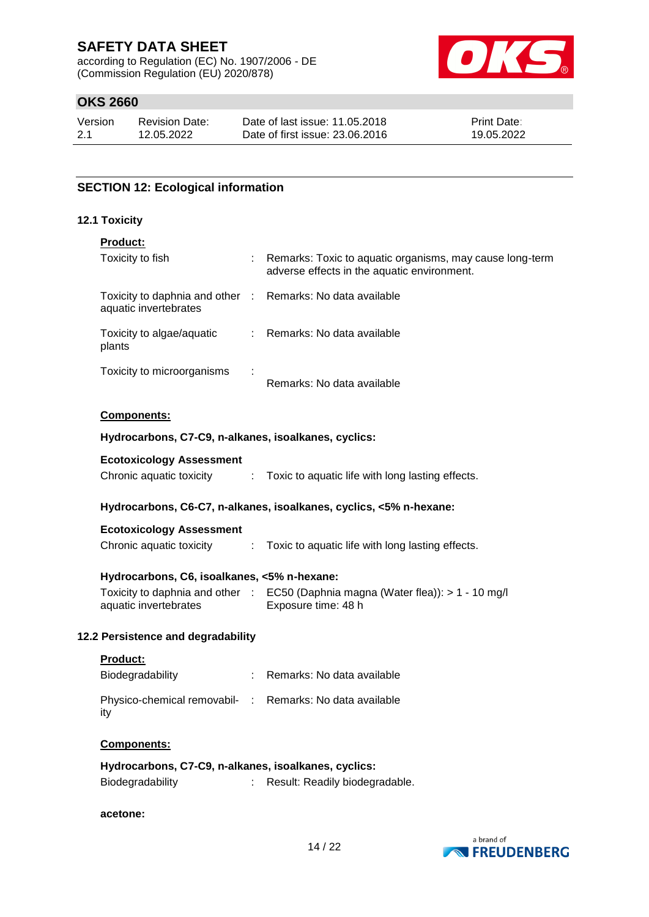according to Regulation (EC) No. 1907/2006 - DE (Commission Regulation (EU) 2020/878)



## **OKS 2660**

| Version | <b>Revision Date:</b> | Date of last issue: 11.05.2018  | <b>Print Date:</b> |
|---------|-----------------------|---------------------------------|--------------------|
| 2.1     | 12.05.2022            | Date of first issue: 23,06,2016 | 19.05.2022         |

### **SECTION 12: Ecological information**

#### **12.1 Toxicity**

| <b>Product:</b>                                                 |                                                                                                         |
|-----------------------------------------------------------------|---------------------------------------------------------------------------------------------------------|
| Toxicity to fish                                                | Remarks: Toxic to aquatic organisms, may cause long-term<br>adverse effects in the aquatic environment. |
| Toxicity to daphnia and other :<br>aquatic invertebrates        | Remarks: No data available                                                                              |
| Toxicity to algae/aquatic<br>plants                             | : Remarks: No data available                                                                            |
| Toxicity to microorganisms                                      | Remarks: No data available                                                                              |
| Components:                                                     |                                                                                                         |
| Hydrocarbons, C7-C9, n-alkanes, isoalkanes, cyclics:            |                                                                                                         |
| <b>Ecotoxicology Assessment</b>                                 |                                                                                                         |
|                                                                 | Chronic aquatic toxicity : Toxic to aquatic life with long lasting effects.                             |
|                                                                 | Hydrocarbons, C6-C7, n-alkanes, isoalkanes, cyclics, <5% n-hexane:                                      |
| <b>Ecotoxicology Assessment</b>                                 |                                                                                                         |
| Chronic aquatic toxicity                                        | : Toxic to aquatic life with long lasting effects.                                                      |
| Hydrocarbons, C6, isoalkanes, <5% n-hexane:                     |                                                                                                         |
| aquatic invertebrates                                           | Toxicity to daphnia and other : EC50 (Daphnia magna (Water flea)): > 1 - 10 mg/l<br>Exposure time: 48 h |
| 12.2 Persistence and degradability                              |                                                                                                         |
| Product:                                                        |                                                                                                         |
| Biodegradability                                                | : Remarks: No data available                                                                            |
| Physico-chemical removabil- : Remarks: No data available<br>ity |                                                                                                         |
| <b>Components:</b>                                              |                                                                                                         |
| Hydrocarbons, C7-C9, n-alkanes, isoalkanes, cyclics:            |                                                                                                         |

| <b>Biodegradability</b> | Result: Readily biodegradable. |
|-------------------------|--------------------------------|
|                         |                                |

### **acetone:**

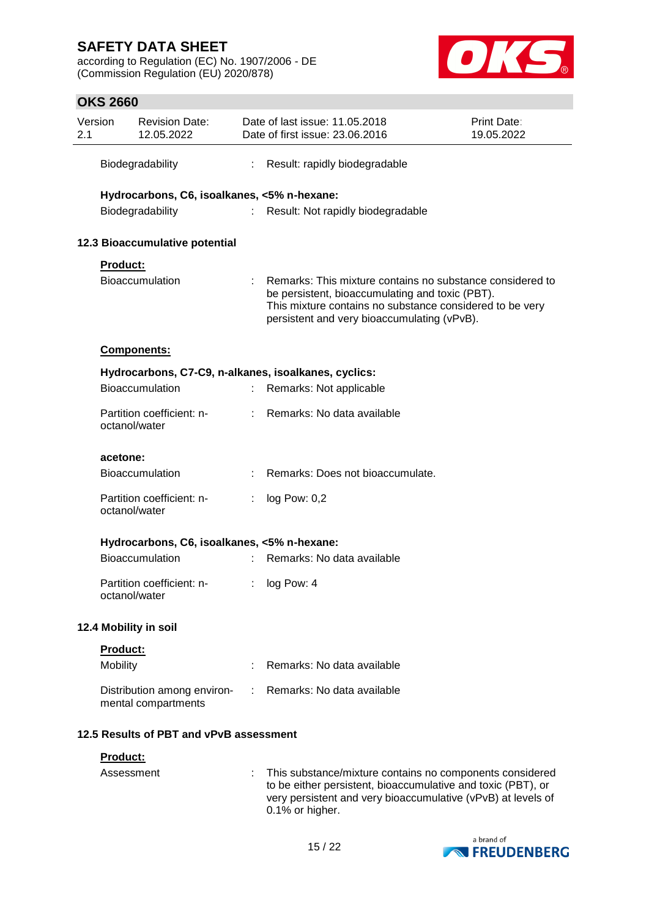according to Regulation (EC) No. 1907/2006 - DE (Commission Regulation (EU) 2020/878)



## **OKS 2660**

| Version<br>2.1 |                                            | <b>Revision Date:</b><br>12.05.2022         |    | Date of last issue: 11.05.2018<br>Date of first issue: 23.06.2016                                                                                                                                                       | Print Date:<br>19.05.2022 |
|----------------|--------------------------------------------|---------------------------------------------|----|-------------------------------------------------------------------------------------------------------------------------------------------------------------------------------------------------------------------------|---------------------------|
|                | Biodegradability                           |                                             | ÷  | Result: rapidly biodegradable                                                                                                                                                                                           |                           |
|                |                                            | Hydrocarbons, C6, isoalkanes, <5% n-hexane: |    |                                                                                                                                                                                                                         |                           |
|                | Biodegradability                           |                                             |    | : Result: Not rapidly biodegradable                                                                                                                                                                                     |                           |
|                |                                            | 12.3 Bioaccumulative potential              |    |                                                                                                                                                                                                                         |                           |
|                | Product:                                   |                                             |    |                                                                                                                                                                                                                         |                           |
|                | <b>Bioaccumulation</b>                     |                                             |    | Remarks: This mixture contains no substance considered to<br>be persistent, bioaccumulating and toxic (PBT).<br>This mixture contains no substance considered to be very<br>persistent and very bioaccumulating (vPvB). |                           |
|                | <b>Components:</b>                         |                                             |    |                                                                                                                                                                                                                         |                           |
|                |                                            |                                             |    | Hydrocarbons, C7-C9, n-alkanes, isoalkanes, cyclics:                                                                                                                                                                    |                           |
|                | Bioaccumulation                            |                                             |    | Remarks: Not applicable                                                                                                                                                                                                 |                           |
|                | Partition coefficient: n-<br>octanol/water |                                             |    | : Remarks: No data available                                                                                                                                                                                            |                           |
|                | acetone:                                   |                                             |    |                                                                                                                                                                                                                         |                           |
|                | <b>Bioaccumulation</b>                     |                                             |    | Remarks: Does not bioaccumulate.                                                                                                                                                                                        |                           |
|                | Partition coefficient: n-<br>octanol/water |                                             |    | log Pow: 0,2                                                                                                                                                                                                            |                           |
|                |                                            | Hydrocarbons, C6, isoalkanes, <5% n-hexane: |    |                                                                                                                                                                                                                         |                           |
|                | <b>Bioaccumulation</b>                     |                                             |    | : Remarks: No data available                                                                                                                                                                                            |                           |
|                | Partition coefficient: n-<br>octanol/water |                                             | t. | log Pow: 4                                                                                                                                                                                                              |                           |
|                | 12.4 Mobility in soil                      |                                             |    |                                                                                                                                                                                                                         |                           |
|                | Product:                                   |                                             |    |                                                                                                                                                                                                                         |                           |
|                | Mobility                                   |                                             |    | Remarks: No data available                                                                                                                                                                                              |                           |
|                | mental compartments                        | Distribution among environ-                 |    | Remarks: No data available                                                                                                                                                                                              |                           |
|                |                                            | 12.5 Results of PBT and vPvB assessment     |    |                                                                                                                                                                                                                         |                           |
|                | <u>Product:</u>                            |                                             |    |                                                                                                                                                                                                                         |                           |
|                | Assessment                                 |                                             |    | This substance/mixture contains no components considered<br>to be either persistent, bioaccumulative and toxic (PBT), or<br>very persistent and very bioaccumulative (vPvB) at levels of<br>0.1% or higher.             |                           |

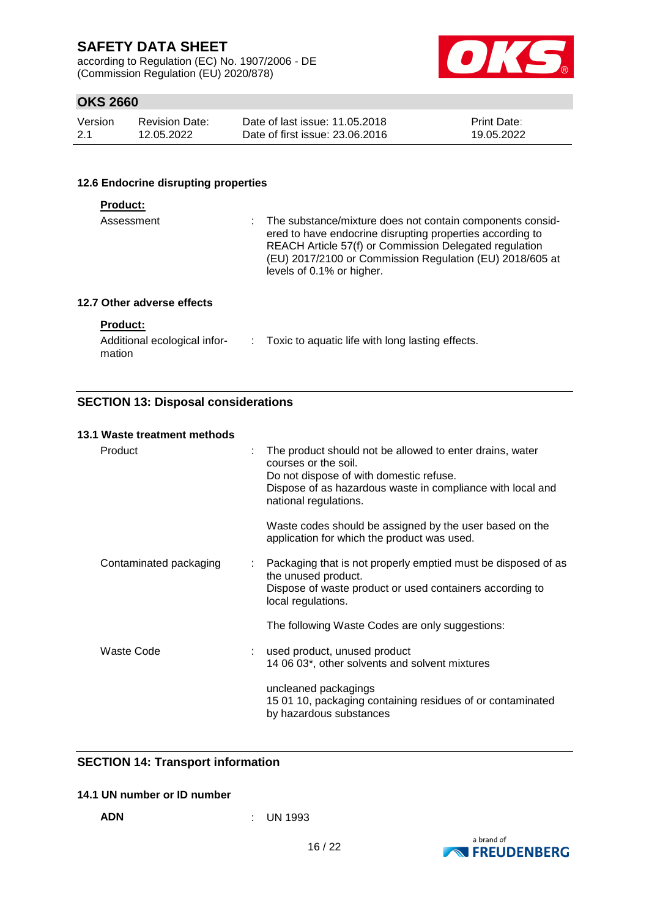according to Regulation (EC) No. 1907/2006 - DE (Commission Regulation (EU) 2020/878)



## **OKS 2660**

| Version | <b>Revision Date:</b> | Date of last issue: 11.05.2018  | <b>Print Date:</b> |
|---------|-----------------------|---------------------------------|--------------------|
| -2.1    | 12.05.2022            | Date of first issue: 23,06,2016 | 19.05.2022         |

#### **12.6 Endocrine disrupting properties**

| Assessment | : The substance/mixture does not contain components consid-<br>ered to have endocrine disrupting properties according to<br>REACH Article 57(f) or Commission Delegated regulation<br>(EU) 2017/2100 or Commission Regulation (EU) 2018/605 at<br>levels of 0.1% or higher. |
|------------|-----------------------------------------------------------------------------------------------------------------------------------------------------------------------------------------------------------------------------------------------------------------------------|
|            |                                                                                                                                                                                                                                                                             |

#### **12.7 Other adverse effects**

### **Product:**

| Additional ecological infor- | Toxic to aquatic life with long lasting effects. |
|------------------------------|--------------------------------------------------|
| mation                       |                                                  |

### **SECTION 13: Disposal considerations**

#### **13.1 Waste treatment methods**

| Product                | The product should not be allowed to enter drains, water<br>courses or the soil.<br>Do not dispose of with domestic refuse.<br>Dispose of as hazardous waste in compliance with local and<br>national regulations. |
|------------------------|--------------------------------------------------------------------------------------------------------------------------------------------------------------------------------------------------------------------|
|                        | Waste codes should be assigned by the user based on the<br>application for which the product was used.                                                                                                             |
| Contaminated packaging | : Packaging that is not properly emptied must be disposed of as<br>the unused product.<br>Dispose of waste product or used containers according to<br>local regulations.                                           |
|                        | The following Waste Codes are only suggestions:                                                                                                                                                                    |
| Waste Code             | : used product, unused product<br>14 06 03*, other solvents and solvent mixtures                                                                                                                                   |
|                        | uncleaned packagings<br>15 01 10, packaging containing residues of or contaminated<br>by hazardous substances                                                                                                      |

### **SECTION 14: Transport information**

### **14.1 UN number or ID number**

**ADN** : UN 1993

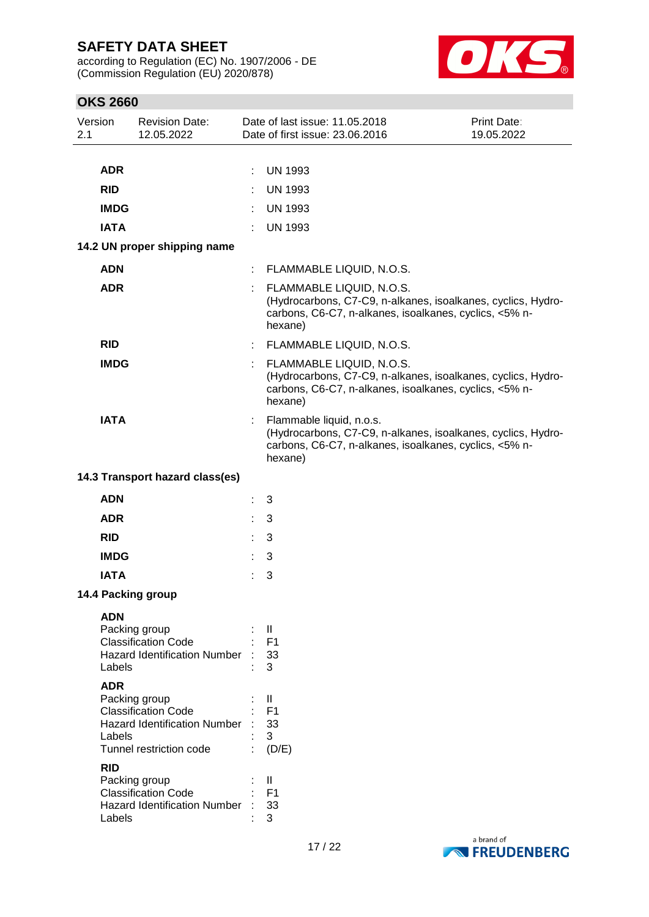according to Regulation (EC) No. 1907/2006 - DE (Commission Regulation (EU) 2020/878)



## **OKS 2660**

| <b>ADR</b><br><b>UN 1993</b><br>÷.<br><b>RID</b><br><b>UN 1993</b><br>÷.<br><b>IMDG</b><br><b>UN 1993</b><br>t.                                                                                                                                                                                                                             |  |
|---------------------------------------------------------------------------------------------------------------------------------------------------------------------------------------------------------------------------------------------------------------------------------------------------------------------------------------------|--|
|                                                                                                                                                                                                                                                                                                                                             |  |
|                                                                                                                                                                                                                                                                                                                                             |  |
|                                                                                                                                                                                                                                                                                                                                             |  |
| <b>IATA</b><br><b>UN 1993</b>                                                                                                                                                                                                                                                                                                               |  |
| 14.2 UN proper shipping name                                                                                                                                                                                                                                                                                                                |  |
| <b>ADN</b><br>FLAMMABLE LIQUID, N.O.S.<br>÷                                                                                                                                                                                                                                                                                                 |  |
| <b>ADR</b><br>FLAMMABLE LIQUID, N.O.S.<br>(Hydrocarbons, C7-C9, n-alkanes, isoalkanes, cyclics, Hydro-<br>carbons, C6-C7, n-alkanes, isoalkanes, cyclics, <5% n-<br>hexane)                                                                                                                                                                 |  |
| <b>RID</b><br>: FLAMMABLE LIQUID, N.O.S.                                                                                                                                                                                                                                                                                                    |  |
| <b>IMDG</b><br>FLAMMABLE LIQUID, N.O.S.<br>t.<br>(Hydrocarbons, C7-C9, n-alkanes, isoalkanes, cyclics, Hydro-<br>carbons, C6-C7, n-alkanes, isoalkanes, cyclics, <5% n-<br>hexane)                                                                                                                                                          |  |
| <b>IATA</b><br>Flammable liquid, n.o.s.<br>(Hydrocarbons, C7-C9, n-alkanes, isoalkanes, cyclics, Hydro-<br>carbons, C6-C7, n-alkanes, isoalkanes, cyclics, <5% n-<br>hexane)                                                                                                                                                                |  |
| 14.3 Transport hazard class(es)                                                                                                                                                                                                                                                                                                             |  |
| <b>ADN</b><br>3                                                                                                                                                                                                                                                                                                                             |  |
| <b>ADR</b><br>3                                                                                                                                                                                                                                                                                                                             |  |
| <b>RID</b><br>3                                                                                                                                                                                                                                                                                                                             |  |
| <b>IMDG</b><br>3                                                                                                                                                                                                                                                                                                                            |  |
| <b>IATA</b><br>3                                                                                                                                                                                                                                                                                                                            |  |
| 14.4 Packing group                                                                                                                                                                                                                                                                                                                          |  |
| <b>ADN</b><br>Packing group<br>Ш<br><b>Classification Code</b><br>F <sub>1</sub><br><b>Hazard Identification Number</b><br>33<br>3<br>Labels                                                                                                                                                                                                |  |
| <b>ADR</b><br>Packing group<br>$\mathbf{I}$<br><b>Classification Code</b><br>F <sub>1</sub><br><b>Hazard Identification Number</b><br>33<br>3<br>Labels<br>Tunnel restriction code<br>(D/E)<br><b>RID</b><br>Packing group<br>Ш<br><b>Classification Code</b><br>F <sub>1</sub><br><b>Hazard Identification Number</b><br>33<br>3<br>Labels |  |

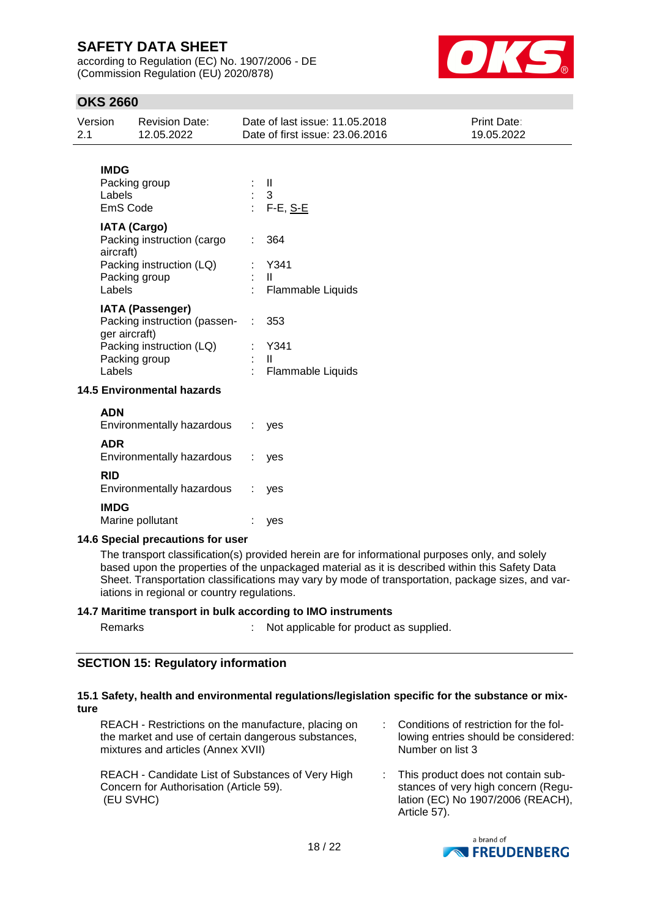according to Regulation (EC) No. 1907/2006 - DE (Commission Regulation (EU) 2020/878)



## **OKS 2660**

| Version<br>2.1           | <b>Revision Date:</b><br>12.05.2022                                                                                   | Date of last issue: 11.05.2018<br>Date of first issue: 23.06.2016 | Print Date:<br>19.05.2022 |
|--------------------------|-----------------------------------------------------------------------------------------------------------------------|-------------------------------------------------------------------|---------------------------|
| <b>IMDG</b><br>Labels    | Packing group<br>EmS Code                                                                                             | Ш<br>3<br>F-E, S-E                                                |                           |
| aircraft)<br>Labels      | <b>IATA (Cargo)</b><br>Packing instruction (cargo<br>Packing instruction (LQ)<br>Packing group                        | 364<br>t.<br>Y341<br>$\mathbf{H}$<br>Flammable Liquids            |                           |
| Labels                   | <b>IATA (Passenger)</b><br>Packing instruction (passen-<br>ger aircraft)<br>Packing instruction (LQ)<br>Packing group | 353<br>Y341<br>$\mathbf{H}$<br>Flammable Liquids                  |                           |
|                          | <b>14.5 Environmental hazards</b>                                                                                     |                                                                   |                           |
| <b>ADN</b><br><b>ADR</b> | Environmentally hazardous                                                                                             | yes                                                               |                           |
|                          | Environmentally hazardous                                                                                             | yes                                                               |                           |
| <b>RID</b>               | Environmentally hazardous                                                                                             | yes                                                               |                           |
| <b>IMDG</b>              | Marine pollutant                                                                                                      | yes                                                               |                           |

#### **14.6 Special precautions for user**

The transport classification(s) provided herein are for informational purposes only, and solely based upon the properties of the unpackaged material as it is described within this Safety Data Sheet. Transportation classifications may vary by mode of transportation, package sizes, and variations in regional or country regulations.

#### **14.7 Maritime transport in bulk according to IMO instruments**

| Remarks | Not applicable for product as supplied. |
|---------|-----------------------------------------|
|         |                                         |

#### **SECTION 15: Regulatory information**

#### **15.1 Safety, health and environmental regulations/legislation specific for the substance or mixture**

| REACH - Restrictions on the manufacture, placing on                                                       | : Conditions of restriction for the fol-                                                                                         |
|-----------------------------------------------------------------------------------------------------------|----------------------------------------------------------------------------------------------------------------------------------|
| the market and use of certain dangerous substances,                                                       | lowing entries should be considered:                                                                                             |
| mixtures and articles (Annex XVII)                                                                        | Number on list 3                                                                                                                 |
| REACH - Candidate List of Substances of Very High<br>Concern for Authorisation (Article 59).<br>(EU SVHC) | : This product does not contain sub-<br>stances of very high concern (Regu-<br>lation (EC) No 1907/2006 (REACH),<br>Article 57). |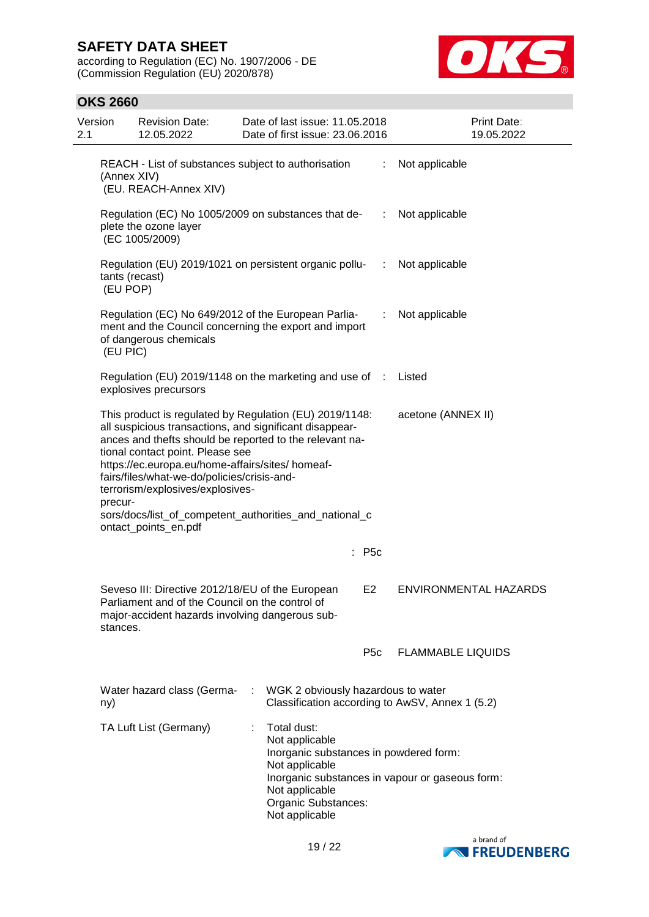according to Regulation (EC) No. 1907/2006 - DE (Commission Regulation (EU) 2020/878)



## **OKS 2660**

| Version<br>2.1 | <b>Revision Date:</b><br>12.05.2022                                                                                                                                                                                                                                                                                                                                                                                                                                         |   | Date of last issue: 11.05.2018<br>Date of first issue: 23,06,2016                                                                                    |                  | Print Date:<br>19.05.2022                       |  |
|----------------|-----------------------------------------------------------------------------------------------------------------------------------------------------------------------------------------------------------------------------------------------------------------------------------------------------------------------------------------------------------------------------------------------------------------------------------------------------------------------------|---|------------------------------------------------------------------------------------------------------------------------------------------------------|------------------|-------------------------------------------------|--|
|                | REACH - List of substances subject to authorisation<br>(Annex XIV)<br>(EU. REACH-Annex XIV)                                                                                                                                                                                                                                                                                                                                                                                 |   |                                                                                                                                                      | ÷.               | Not applicable                                  |  |
|                | Regulation (EC) No 1005/2009 on substances that de-<br>plete the ozone layer<br>(EC 1005/2009)                                                                                                                                                                                                                                                                                                                                                                              |   |                                                                                                                                                      | ÷                | Not applicable                                  |  |
|                | Regulation (EU) 2019/1021 on persistent organic pollu-<br>tants (recast)<br>(EU POP)                                                                                                                                                                                                                                                                                                                                                                                        |   |                                                                                                                                                      | $\sim 100$       | Not applicable                                  |  |
|                | Regulation (EC) No 649/2012 of the European Parlia-<br>ment and the Council concerning the export and import<br>of dangerous chemicals<br>(EU PIC)                                                                                                                                                                                                                                                                                                                          |   |                                                                                                                                                      | ÷.               | Not applicable                                  |  |
|                | Regulation (EU) 2019/1148 on the marketing and use of :<br>explosives precursors                                                                                                                                                                                                                                                                                                                                                                                            |   |                                                                                                                                                      |                  | Listed                                          |  |
|                | This product is regulated by Regulation (EU) 2019/1148:<br>acetone (ANNEX II)<br>all suspicious transactions, and significant disappear-<br>ances and thefts should be reported to the relevant na-<br>tional contact point. Please see<br>https://ec.europa.eu/home-affairs/sites/ homeaf-<br>fairs/files/what-we-do/policies/crisis-and-<br>terrorism/explosives/explosives-<br>precur-<br>sors/docs/list_of_competent_authorities_and_national_c<br>ontact_points_en.pdf |   |                                                                                                                                                      |                  |                                                 |  |
|                |                                                                                                                                                                                                                                                                                                                                                                                                                                                                             |   | $:$ P5c                                                                                                                                              |                  |                                                 |  |
| stances.       | Seveso III: Directive 2012/18/EU of the European<br>Parliament and of the Council on the control of<br>major-accident hazards involving dangerous sub-                                                                                                                                                                                                                                                                                                                      |   | E <sub>2</sub>                                                                                                                                       |                  | <b>ENVIRONMENTAL HAZARDS</b>                    |  |
|                |                                                                                                                                                                                                                                                                                                                                                                                                                                                                             |   |                                                                                                                                                      | P <sub>5</sub> c | <b>FLAMMABLE LIQUIDS</b>                        |  |
| ny)            | Water hazard class (Germa-                                                                                                                                                                                                                                                                                                                                                                                                                                                  | ÷ | WGK 2 obviously hazardous to water<br>Classification according to AwSV, Annex 1 (5.2)                                                                |                  |                                                 |  |
|                | TA Luft List (Germany)                                                                                                                                                                                                                                                                                                                                                                                                                                                      | ÷ | Total dust:<br>Not applicable<br>Inorganic substances in powdered form:<br>Not applicable<br>Not applicable<br>Organic Substances:<br>Not applicable |                  | Inorganic substances in vapour or gaseous form: |  |

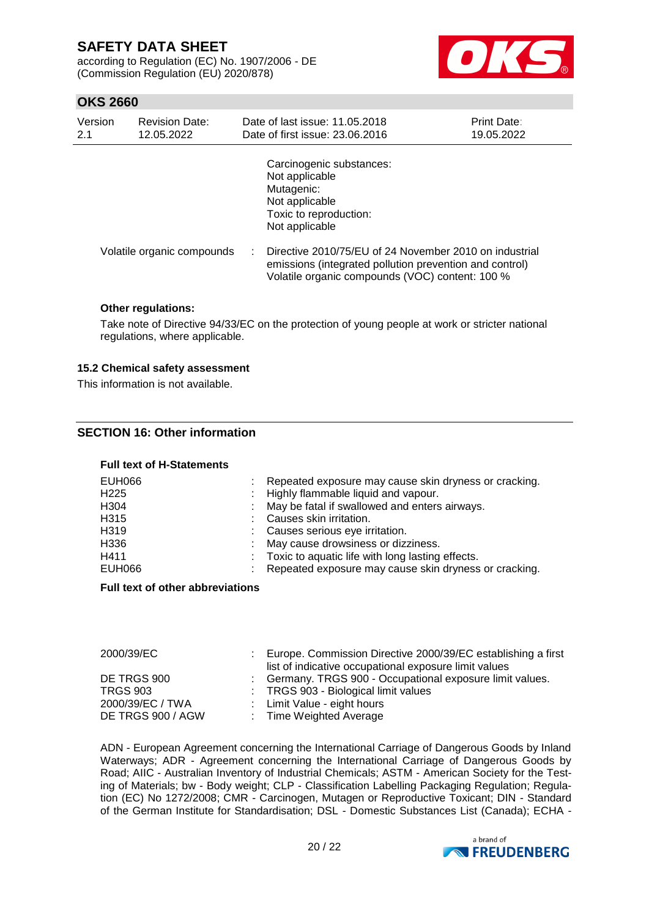according to Regulation (EC) No. 1907/2006 - DE (Commission Regulation (EU) 2020/878)



### **OKS 2660**

| Version<br>2.1 | <b>Revision Date:</b><br>12.05.2022 | Date of last issue: 11.05.2018<br>Date of first issue: 23,06,2016                                                                                                    | Print Date:<br>19.05.2022 |
|----------------|-------------------------------------|----------------------------------------------------------------------------------------------------------------------------------------------------------------------|---------------------------|
|                |                                     | Carcinogenic substances:<br>Not applicable<br>Mutagenic:<br>Not applicable<br>Toxic to reproduction:<br>Not applicable                                               |                           |
|                | Volatile organic compounds          | Directive 2010/75/EU of 24 November 2010 on industrial<br>emissions (integrated pollution prevention and control)<br>Volatile organic compounds (VOC) content: 100 % |                           |

#### **Other regulations:**

Take note of Directive 94/33/EC on the protection of young people at work or stricter national regulations, where applicable.

#### **15.2 Chemical safety assessment**

This information is not available.

### **SECTION 16: Other information**

#### **Full text of H-Statements**

| EUH066<br>H <sub>225</sub> | Repeated exposure may cause skin dryness or cracking.<br>: Highly flammable liquid and vapour. |
|----------------------------|------------------------------------------------------------------------------------------------|
| H <sub>304</sub>           | : May be fatal if swallowed and enters airways.                                                |
| H315                       | : Causes skin irritation.                                                                      |
| H319                       | : Causes serious eye irritation.                                                               |
| H336                       | : May cause drowsiness or dizziness.                                                           |
| H411                       | : Toxic to aquatic life with long lasting effects.                                             |
| EUH066                     | Repeated exposure may cause skin dryness or cracking.                                          |

#### **Full text of other abbreviations**

| 2000/39/EC                                                              | Europe. Commission Directive 2000/39/EC establishing a first<br>list of indicative occupational exposure limit values                                       |
|-------------------------------------------------------------------------|-------------------------------------------------------------------------------------------------------------------------------------------------------------|
| DE TRGS 900<br><b>TRGS 903</b><br>2000/39/EC / TWA<br>DE TRGS 900 / AGW | : Germany. TRGS 900 - Occupational exposure limit values.<br>: TRGS 903 - Biological limit values<br>: Limit Value - eight hours<br>: Time Weighted Average |

ADN - European Agreement concerning the International Carriage of Dangerous Goods by Inland Waterways; ADR - Agreement concerning the International Carriage of Dangerous Goods by Road; AIIC - Australian Inventory of Industrial Chemicals; ASTM - American Society for the Testing of Materials; bw - Body weight; CLP - Classification Labelling Packaging Regulation; Regulation (EC) No 1272/2008; CMR - Carcinogen, Mutagen or Reproductive Toxicant; DIN - Standard of the German Institute for Standardisation; DSL - Domestic Substances List (Canada); ECHA -

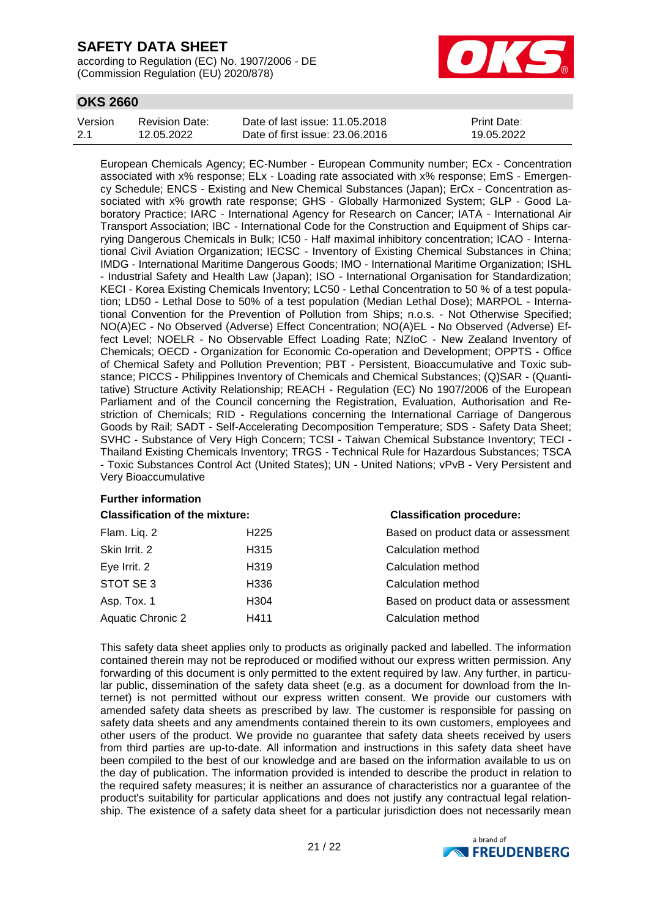according to Regulation (EC) No. 1907/2006 - DE (Commission Regulation (EU) 2020/878)



## **OKS 2660**

| Version | Revision Date: | Date of last issue: 11.05.2018  | <b>Print Date:</b> |
|---------|----------------|---------------------------------|--------------------|
| 2.1     | 12.05.2022     | Date of first issue: 23,06,2016 | 19.05.2022         |

European Chemicals Agency; EC-Number - European Community number; ECx - Concentration associated with x% response; ELx - Loading rate associated with x% response; EmS - Emergency Schedule; ENCS - Existing and New Chemical Substances (Japan); ErCx - Concentration associated with x% growth rate response; GHS - Globally Harmonized System; GLP - Good Laboratory Practice; IARC - International Agency for Research on Cancer; IATA - International Air Transport Association; IBC - International Code for the Construction and Equipment of Ships carrying Dangerous Chemicals in Bulk; IC50 - Half maximal inhibitory concentration; ICAO - International Civil Aviation Organization; IECSC - Inventory of Existing Chemical Substances in China; IMDG - International Maritime Dangerous Goods; IMO - International Maritime Organization; ISHL - Industrial Safety and Health Law (Japan); ISO - International Organisation for Standardization; KECI - Korea Existing Chemicals Inventory; LC50 - Lethal Concentration to 50 % of a test population; LD50 - Lethal Dose to 50% of a test population (Median Lethal Dose); MARPOL - International Convention for the Prevention of Pollution from Ships; n.o.s. - Not Otherwise Specified; NO(A)EC - No Observed (Adverse) Effect Concentration; NO(A)EL - No Observed (Adverse) Effect Level; NOELR - No Observable Effect Loading Rate; NZIoC - New Zealand Inventory of Chemicals; OECD - Organization for Economic Co-operation and Development; OPPTS - Office of Chemical Safety and Pollution Prevention; PBT - Persistent, Bioaccumulative and Toxic substance; PICCS - Philippines Inventory of Chemicals and Chemical Substances; (Q)SAR - (Quantitative) Structure Activity Relationship; REACH - Regulation (EC) No 1907/2006 of the European Parliament and of the Council concerning the Registration, Evaluation, Authorisation and Restriction of Chemicals; RID - Regulations concerning the International Carriage of Dangerous Goods by Rail; SADT - Self-Accelerating Decomposition Temperature; SDS - Safety Data Sheet; SVHC - Substance of Very High Concern; TCSI - Taiwan Chemical Substance Inventory; TECI - Thailand Existing Chemicals Inventory; TRGS - Technical Rule for Hazardous Substances; TSCA - Toxic Substances Control Act (United States); UN - United Nations; vPvB - Very Persistent and Very Bioaccumulative

## **Further information**

**Classification of the mixture: Classification procedure:**

| <u>UNUSHIVANUH UL MIV IIIIANI V.</u> |                  | <u>URUSUNUGHUN PROGUATU.</u>        |  |
|--------------------------------------|------------------|-------------------------------------|--|
| Flam. Liq. 2                         | H <sub>225</sub> | Based on product data or assessment |  |
| Skin Irrit. 2                        | H315             | Calculation method                  |  |
| Eye Irrit. 2                         | H319             | Calculation method                  |  |
| STOT SE 3                            | H336             | Calculation method                  |  |
| Asp. Tox. 1                          | H304             | Based on product data or assessment |  |
| <b>Aquatic Chronic 2</b>             | H411             | Calculation method                  |  |
|                                      |                  |                                     |  |

This safety data sheet applies only to products as originally packed and labelled. The information contained therein may not be reproduced or modified without our express written permission. Any forwarding of this document is only permitted to the extent required by law. Any further, in particular public, dissemination of the safety data sheet (e.g. as a document for download from the Internet) is not permitted without our express written consent. We provide our customers with amended safety data sheets as prescribed by law. The customer is responsible for passing on safety data sheets and any amendments contained therein to its own customers, employees and other users of the product. We provide no guarantee that safety data sheets received by users from third parties are up-to-date. All information and instructions in this safety data sheet have been compiled to the best of our knowledge and are based on the information available to us on the day of publication. The information provided is intended to describe the product in relation to the required safety measures; it is neither an assurance of characteristics nor a guarantee of the product's suitability for particular applications and does not justify any contractual legal relationship. The existence of a safety data sheet for a particular jurisdiction does not necessarily mean